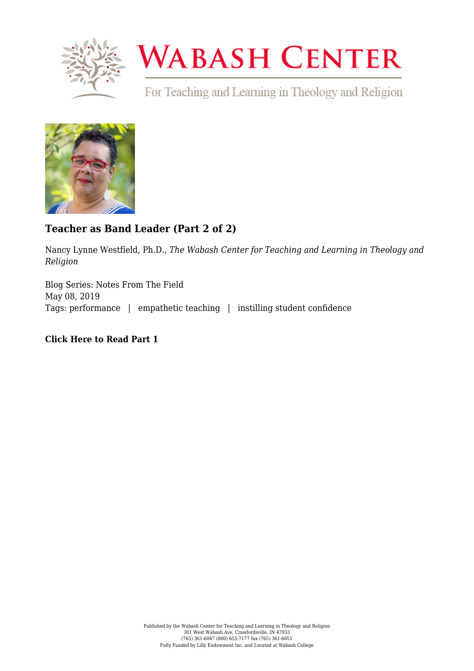

## **WABASH CENTER**

For Teaching and Learning in Theology and Religion



## **[Teacher as Band Leader \(Part 2 of 2\)](https://www.wabashcenter.wabash.edu/2019/05/teacher-as-band-leader-part-2-of-2/)**

Nancy Lynne Westfield, Ph.D., *The Wabash Center for Teaching and Learning in Theology and Religion*

Blog Series: Notes From The Field May 08, 2019 Tags: performance | empathetic teaching | instilling student confidence

## **[Click Here to Read Part 1](https://www.wabashcenter.wabash.edu/2019/04/229314/)**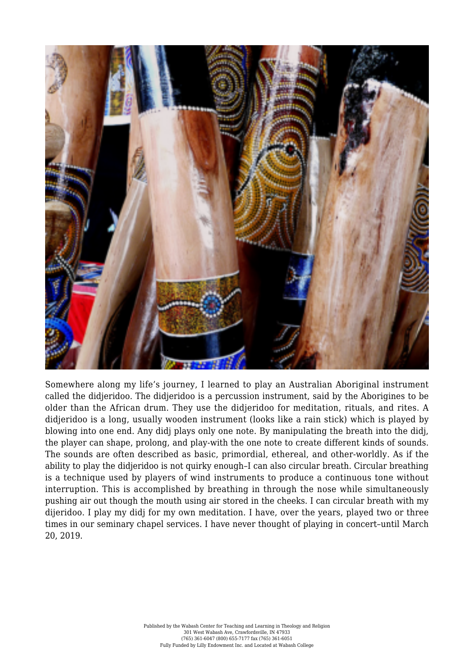

Somewhere along my life's journey, I learned to play an Australian Aboriginal instrument called the didjeridoo. The didjeridoo is a percussion instrument, said by the Aborigines to be older than the African drum. They use the didjeridoo for meditation, rituals, and rites. A didjeridoo is a long, usually wooden instrument (looks like a rain stick) which is played by blowing into one end. Any didj plays only one note. By manipulating the breath into the didj, the player can shape, prolong, and play-with the one note to create different kinds of sounds. The sounds are often described as basic, primordial, ethereal, and other-worldly. As if the ability to play the didjeridoo is not quirky enough–I can also circular breath. Circular breathing is a technique used by players of wind instruments to produce a continuous tone without interruption. This is accomplished by breathing in through the nose while simultaneously pushing air out though the mouth using air stored in the cheeks. I can circular breath with my dijeridoo. I play my didj for my own meditation. I have, over the years, played two or three times in our seminary chapel services. I have never thought of playing in concert–until March 20, 2019.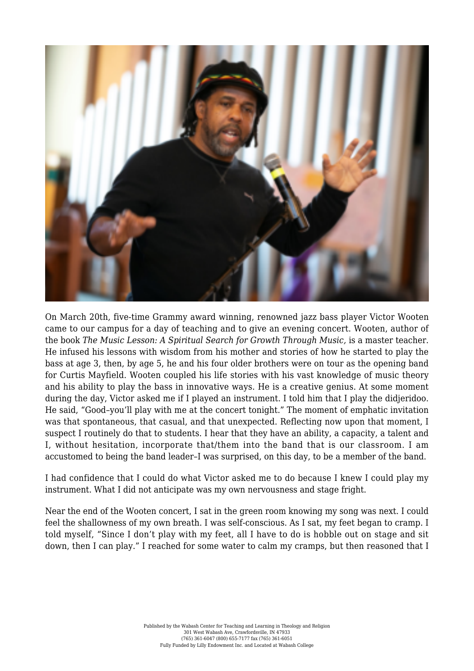

On March 20th, five-time Grammy award winning, renowned jazz bass player Victor Wooten came to our campus for a day of teaching and to give an evening concert. Wooten, author of the book *The Music Lesson: A Spiritual Search for Growth Through Music,* is a master teacher. He infused his lessons with wisdom from his mother and stories of how he started to play the bass at age 3, then, by age 5, he and his four older brothers were on tour as the opening band for Curtis Mayfield. Wooten coupled his life stories with his vast knowledge of music theory and his ability to play the bass in innovative ways. He is a creative genius. At some moment during the day, Victor asked me if I played an instrument. I told him that I play the didjeridoo. He said, "Good–you'll play with me at the concert tonight." The moment of emphatic invitation was that spontaneous, that casual, and that unexpected. Reflecting now upon that moment, I suspect I routinely do that to students. I hear that they have an ability, a capacity, a talent and I, without hesitation, incorporate that/them into the band that is our classroom. I am accustomed to being the band leader–I was surprised, on this day, to be a member of the band.

I had confidence that I could do what Victor asked me to do because I knew I could play my instrument. What I did not anticipate was my own nervousness and stage fright.

Near the end of the Wooten concert, I sat in the green room knowing my song was next. I could feel the shallowness of my own breath. I was self-conscious. As I sat, my feet began to cramp. I told myself, "Since I don't play with my feet, all I have to do is hobble out on stage and sit down, then I can play." I reached for some water to calm my cramps, but then reasoned that I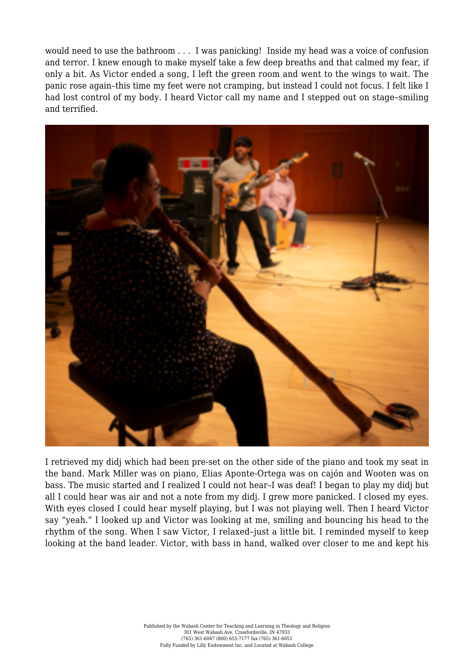would need to use the bathroom . . . I was panicking! Inside my head was a voice of confusion and terror. I knew enough to make myself take a few deep breaths and that calmed my fear, if only a bit. As Victor ended a song, I left the green room and went to the wings to wait. The panic rose again–this time my feet were not cramping, but instead I could not focus. I felt like I had lost control of my body. I heard Victor call my name and I stepped out on stage–smiling and terrified.



I retrieved my didj which had been pre-set on the other side of the piano and took my seat in the band. Mark Miller was on piano, Elias Aponte-Ortega was on cajón and Wooten was on bass. The music started and I realized I could not hear–I was deaf! I began to play my didj but all I could hear was air and not a note from my didj. I grew more panicked. I closed my eyes. With eyes closed I could hear myself playing, but I was not playing well. Then I heard Victor say "yeah." I looked up and Victor was looking at me, smiling and bouncing his head to the rhythm of the song. When I saw Victor, I relaxed–just a little bit. I reminded myself to keep looking at the band leader. Victor, with bass in hand, walked over closer to me and kept his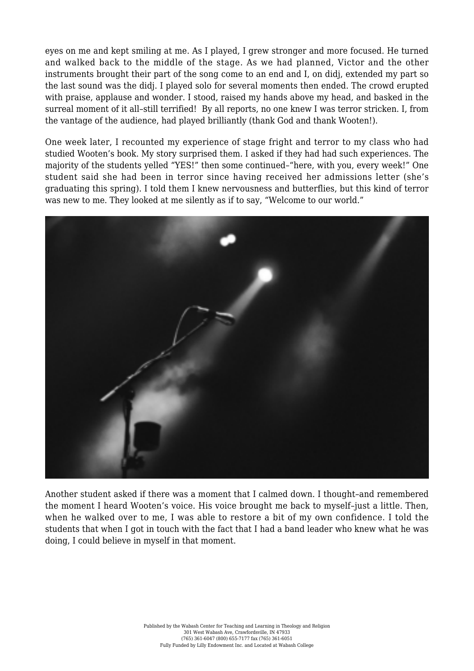eyes on me and kept smiling at me. As I played, I grew stronger and more focused. He turned and walked back to the middle of the stage. As we had planned, Victor and the other instruments brought their part of the song come to an end and I, on didj, extended my part so the last sound was the didj. I played solo for several moments then ended. The crowd erupted with praise, applause and wonder. I stood, raised my hands above my head, and basked in the surreal moment of it all-still terrified! By all reports, no one knew I was terror stricken. I, from the vantage of the audience, had played brilliantly (thank God and thank Wooten!).

One week later, I recounted my experience of stage fright and terror to my class who had studied Wooten's book. My story surprised them. I asked if they had had such experiences. The majority of the students yelled "YES!" then some continued–"here, with you, every week!" One student said she had been in terror since having received her admissions letter (she's graduating this spring). I told them I knew nervousness and butterflies, but this kind of terror was new to me. They looked at me silently as if to say, "Welcome to our world."



Another student asked if there was a moment that I calmed down. I thought–and remembered the moment I heard Wooten's voice. His voice brought me back to myself–just a little. Then, when he walked over to me, I was able to restore a bit of my own confidence. I told the students that when I got in touch with the fact that I had a band leader who knew what he was doing, I could believe in myself in that moment.